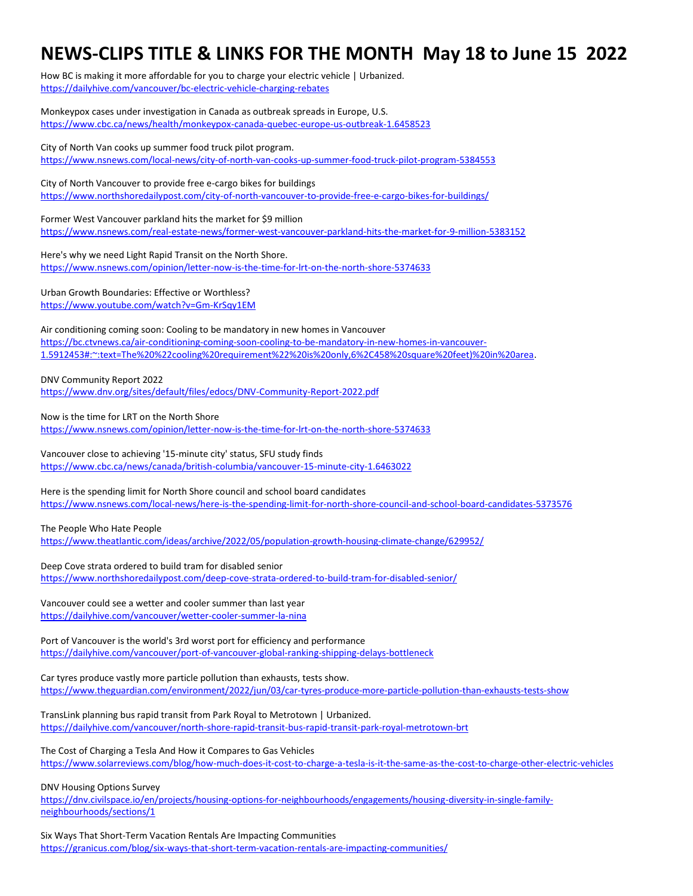## **NEWS-CLIPS TITLE & LINKS FOR THE MONTH May 18 to June 15 2022**

How BC is making it more affordable for you to charge your electric vehicle | Urbanized. https://dailyhive.com/vancouver/bc-electric-vehicle-charging-rebates

Monkeypox cases under investigation in Canada as outbreak spreads in Europe, U.S. https://www.cbc.ca/news/health/monkeypox-canada-quebec-europe-us-outbreak-1.6458523

City of North Van cooks up summer food truck pilot program. https://www.nsnews.com/local-news/city-of-north-van-cooks-up-summer-food-truck-pilot-program-5384553

City of North Vancouver to provide free e-cargo bikes for buildings https://www.northshoredailypost.com/city-of-north-vancouver-to-provide-free-e-cargo-bikes-for-buildings/

Former West Vancouver parkland hits the market for \$9 million https://www.nsnews.com/real-estate-news/former-west-vancouver-parkland-hits-the-market-for-9-million-5383152

Here's why we need Light Rapid Transit on the North Shore. https://www.nsnews.com/opinion/letter-now-is-the-time-for-lrt-on-the-north-shore-5374633

Urban Growth Boundaries: Effective or Worthless? https://www.youtube.com/watch?v=Gm-KrSqy1EM

Air conditioning coming soon: Cooling to be mandatory in new homes in Vancouver https://bc.ctvnews.ca/air-conditioning-coming-soon-cooling-to-be-mandatory-in-new-homes-in-vancouver-1.5912453#:~:text=The%20%22cooling%20requirement%22%20is%20only,6%2C458%20square%20feet)%20in%20area.

DNV Community Report 2022

https://www.dnv.org/sites/default/files/edocs/DNV-Community-Report-2022.pdf

Now is the time for LRT on the North Shore https://www.nsnews.com/opinion/letter-now-is-the-time-for-lrt-on-the-north-shore-5374633

Vancouver close to achieving '15-minute city' status, SFU study finds https://www.cbc.ca/news/canada/british-columbia/vancouver-15-minute-city-1.6463022

Here is the spending limit for North Shore council and school board candidates https://www.nsnews.com/local-news/here-is-the-spending-limit-for-north-shore-council-and-school-board-candidates-5373576

The People Who Hate People

https://www.theatlantic.com/ideas/archive/2022/05/population-growth-housing-climate-change/629952/

Deep Cove strata ordered to build tram for disabled senior https://www.northshoredailypost.com/deep-cove-strata-ordered-to-build-tram-for-disabled-senior/

Vancouver could see a wetter and cooler summer than last year https://dailyhive.com/vancouver/wetter-cooler-summer-la-nina

Port of Vancouver is the world's 3rd worst port for efficiency and performance https://dailyhive.com/vancouver/port-of-vancouver-global-ranking-shipping-delays-bottleneck

Car tyres produce vastly more particle pollution than exhausts, tests show. https://www.theguardian.com/environment/2022/jun/03/car-tyres-produce-more-particle-pollution-than-exhausts-tests-show

TransLink planning bus rapid transit from Park Royal to Metrotown | Urbanized. https://dailyhive.com/vancouver/north-shore-rapid-transit-bus-rapid-transit-park-royal-metrotown-brt

The Cost of Charging a Tesla And How it Compares to Gas Vehicles https://www.solarreviews.com/blog/how-much-does-it-cost-to-charge-a-tesla-is-it-the-same-as-the-cost-to-charge-other-electric-vehicles

DNV Housing Options Survey

https://dnv.civilspace.io/en/projects/housing-options-for-neighbourhoods/engagements/housing-diversity-in-single-familyneighbourhoods/sections/1

Six Ways That Short-Term Vacation Rentals Are Impacting Communities https://granicus.com/blog/six-ways-that-short-term-vacation-rentals-are-impacting-communities/